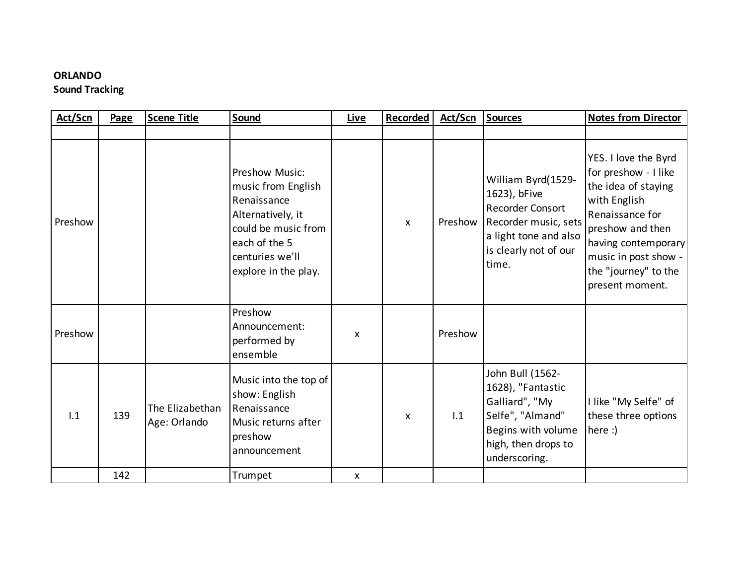## **ORLANDO**

## **Sound Tracking**

| Act/Scn | Page | <b>Scene Title</b>              | Sound                                                                                                                                                       | Live | Recorded     | Act/Scn | <b>Sources</b>                                                                                                                                   | <b>Notes from Director</b>                                                                                                                                                                                           |
|---------|------|---------------------------------|-------------------------------------------------------------------------------------------------------------------------------------------------------------|------|--------------|---------|--------------------------------------------------------------------------------------------------------------------------------------------------|----------------------------------------------------------------------------------------------------------------------------------------------------------------------------------------------------------------------|
|         |      |                                 |                                                                                                                                                             |      |              |         |                                                                                                                                                  |                                                                                                                                                                                                                      |
| Preshow |      |                                 | Preshow Music:<br>music from English<br>Renaissance<br>Alternatively, it<br>could be music from<br>each of the 5<br>centuries we'll<br>explore in the play. |      | $\mathsf{x}$ | Preshow | William Byrd(1529-<br>1623), bFive<br><b>Recorder Consort</b><br>Recorder music, sets<br>a light tone and also<br>is clearly not of our<br>time. | YES. I love the Byrd<br>for preshow - I like<br>the idea of staying<br>with English<br>Renaissance for<br>preshow and then<br>having contemporary<br>music in post show -<br>the "journey" to the<br>present moment. |
| Preshow |      |                                 | Preshow<br>Announcement:<br>performed by<br>ensemble                                                                                                        | X    |              | Preshow |                                                                                                                                                  |                                                                                                                                                                                                                      |
| 1.1     | 139  | The Elizabethan<br>Age: Orlando | Music into the top of<br>show: English<br>Renaissance<br>Music returns after<br>preshow<br>announcement                                                     |      | X            | 1.1     | John Bull (1562-<br>1628), "Fantastic<br>Galliard", "My<br>Selfe", "Almand"<br>Begins with volume<br>high, then drops to<br>underscoring.        | I like "My Selfe" of<br>these three options<br>here $:$                                                                                                                                                              |
|         | 142  |                                 | Trumpet                                                                                                                                                     | X    |              |         |                                                                                                                                                  |                                                                                                                                                                                                                      |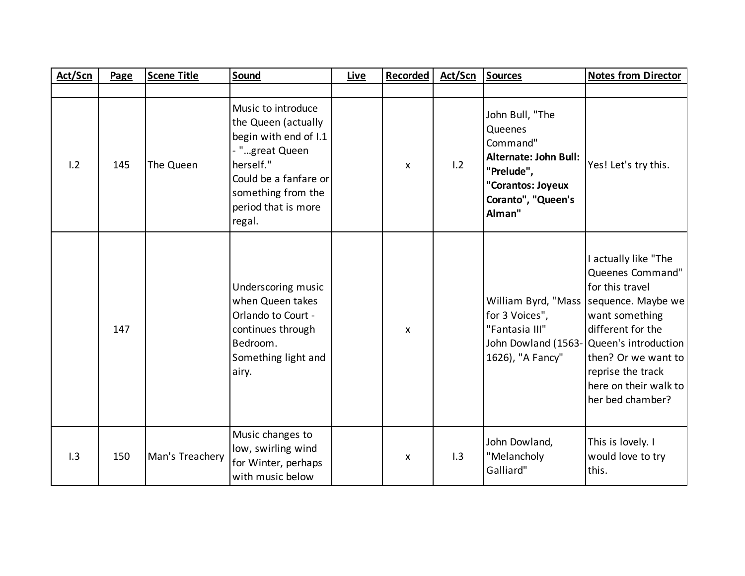| Act/Scn | Page | <b>Scene Title</b> | Sound                                                                                                                                                                             | <b>Live</b> | <b>Recorded</b> | <b>Act/Scn</b> | <b>Sources</b>                                                                                                                     | <b>Notes from Director</b>                                                                                                                                                                                                                |
|---------|------|--------------------|-----------------------------------------------------------------------------------------------------------------------------------------------------------------------------------|-------------|-----------------|----------------|------------------------------------------------------------------------------------------------------------------------------------|-------------------------------------------------------------------------------------------------------------------------------------------------------------------------------------------------------------------------------------------|
|         |      |                    |                                                                                                                                                                                   |             |                 |                |                                                                                                                                    |                                                                                                                                                                                                                                           |
| 1.2     | 145  | The Queen          | Music to introduce<br>the Queen (actually<br>begin with end of I.1<br>- "great Queen<br>herself."<br>Could be a fanfare or<br>something from the<br>period that is more<br>regal. |             | X               | 1.2            | John Bull, "The<br>Queenes<br>Command"<br>Alternate: John Bull:<br>"Prelude",<br>"Corantos: Joyeux<br>Coranto", "Queen's<br>Alman" | Yes! Let's try this.                                                                                                                                                                                                                      |
|         | 147  |                    | Underscoring music<br>when Queen takes<br>Orlando to Court -<br>continues through<br>Bedroom.<br>Something light and<br>airy.                                                     |             | X               |                | William Byrd, "Mass<br>for 3 Voices",<br>"Fantasia III"<br>John Dowland (1563-<br>1626), "A Fancy"                                 | I actually like "The<br>Queenes Command"<br>for this travel<br>sequence. Maybe we<br>want something<br>different for the<br>Queen's introduction<br>then? Or we want to<br>reprise the track<br>here on their walk to<br>her bed chamber? |
| 1.3     | 150  | Man's Treachery    | Music changes to<br>low, swirling wind<br>for Winter, perhaps<br>with music below                                                                                                 |             | X               | 1.3            | John Dowland,<br>"Melancholy<br>Galliard"                                                                                          | This is lovely. I<br>would love to try<br>this.                                                                                                                                                                                           |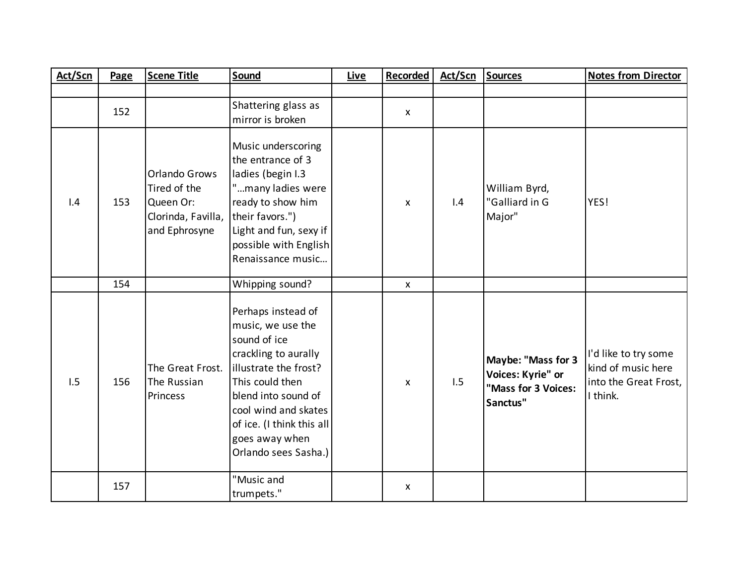| Act/Scn | Page | <b>Scene Title</b>                                                                | Sound                                                                                                                                                                                                                                             | <b>Live</b> | <b>Recorded</b> | Act/Scn | <b>Sources</b>                                                             | <b>Notes from Director</b>                                                      |
|---------|------|-----------------------------------------------------------------------------------|---------------------------------------------------------------------------------------------------------------------------------------------------------------------------------------------------------------------------------------------------|-------------|-----------------|---------|----------------------------------------------------------------------------|---------------------------------------------------------------------------------|
|         |      |                                                                                   |                                                                                                                                                                                                                                                   |             |                 |         |                                                                            |                                                                                 |
|         | 152  |                                                                                   | Shattering glass as<br>mirror is broken                                                                                                                                                                                                           |             | $\mathsf{X}$    |         |                                                                            |                                                                                 |
| 1.4     | 153  | Orlando Grows<br>Tired of the<br>Queen Or:<br>Clorinda, Favilla,<br>and Ephrosyne | Music underscoring<br>the entrance of 3<br>ladies (begin I.3<br>"many ladies were<br>ready to show him<br>their favors.")<br>Light and fun, sexy if<br>possible with English<br>Renaissance music                                                 |             | $\mathsf{X}$    | 1.4     | William Byrd,<br>"Galliard in G<br>Major"                                  | YES!                                                                            |
|         | 154  |                                                                                   | Whipping sound?                                                                                                                                                                                                                                   |             | $\mathsf{X}$    |         |                                                                            |                                                                                 |
| 1.5     | 156  | The Great Frost.<br>The Russian<br>Princess                                       | Perhaps instead of<br>music, we use the<br>sound of ice<br>crackling to aurally<br>illustrate the frost?<br>This could then<br>blend into sound of<br>cool wind and skates<br>of ice. (I think this all<br>goes away when<br>Orlando sees Sasha.) |             | X               | 1.5     | Maybe: "Mass for 3<br>Voices: Kyrie" or<br>"Mass for 3 Voices:<br>Sanctus" | I'd like to try some<br>kind of music here<br>into the Great Frost,<br>I think. |
|         | 157  |                                                                                   | "Music and<br>trumpets."                                                                                                                                                                                                                          |             | X               |         |                                                                            |                                                                                 |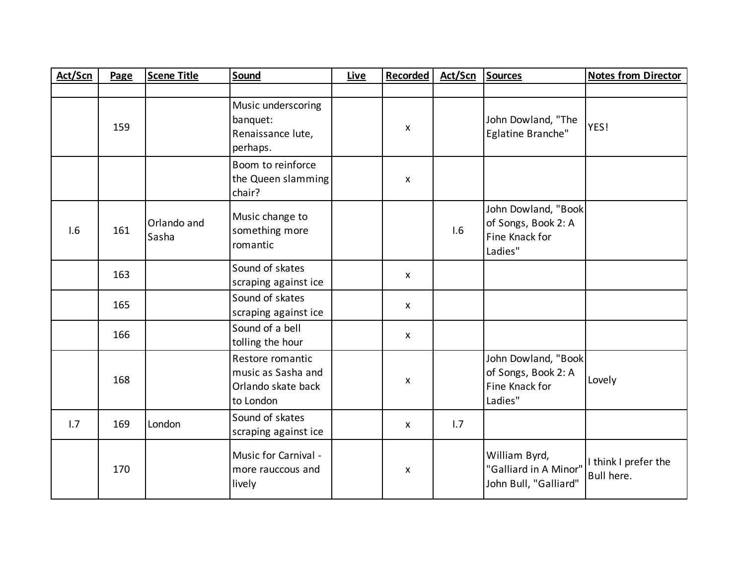| Act/Scn | Page | <b>Scene Title</b>   | Sound                                                                     | <b>Live</b> | Recorded     | Act/Scn | <b>Sources</b>                                                          | <b>Notes from Director</b>         |
|---------|------|----------------------|---------------------------------------------------------------------------|-------------|--------------|---------|-------------------------------------------------------------------------|------------------------------------|
|         |      |                      |                                                                           |             |              |         |                                                                         |                                    |
|         | 159  |                      | Music underscoring<br>banquet:<br>Renaissance lute,<br>perhaps.           |             | X            |         | John Dowland, "The<br>Eglatine Branche"                                 | YES!                               |
|         |      |                      | Boom to reinforce<br>the Queen slamming<br>chair?                         |             | X            |         |                                                                         |                                    |
| 1.6     | 161  | Orlando and<br>Sasha | Music change to<br>something more<br>romantic                             |             |              | 1.6     | John Dowland, "Book<br>of Songs, Book 2: A<br>Fine Knack for<br>Ladies" |                                    |
|         | 163  |                      | Sound of skates<br>scraping against ice                                   |             | $\mathsf{x}$ |         |                                                                         |                                    |
|         | 165  |                      | Sound of skates<br>scraping against ice                                   |             | $\mathsf{X}$ |         |                                                                         |                                    |
|         | 166  |                      | Sound of a bell<br>tolling the hour                                       |             | X            |         |                                                                         |                                    |
|         | 168  |                      | Restore romantic<br>music as Sasha and<br>Orlando skate back<br>to London |             | X            |         | John Dowland, "Book<br>of Songs, Book 2: A<br>Fine Knack for<br>Ladies" | Lovely                             |
| 1.7     | 169  | London               | Sound of skates<br>scraping against ice                                   |             | $\mathsf{X}$ | 1.7     |                                                                         |                                    |
|         | 170  |                      | Music for Carnival -<br>more rauccous and<br>lively                       |             | X            |         | William Byrd,<br>"Galliard in A Minor"<br>John Bull, "Galliard"         | I think I prefer the<br>Bull here. |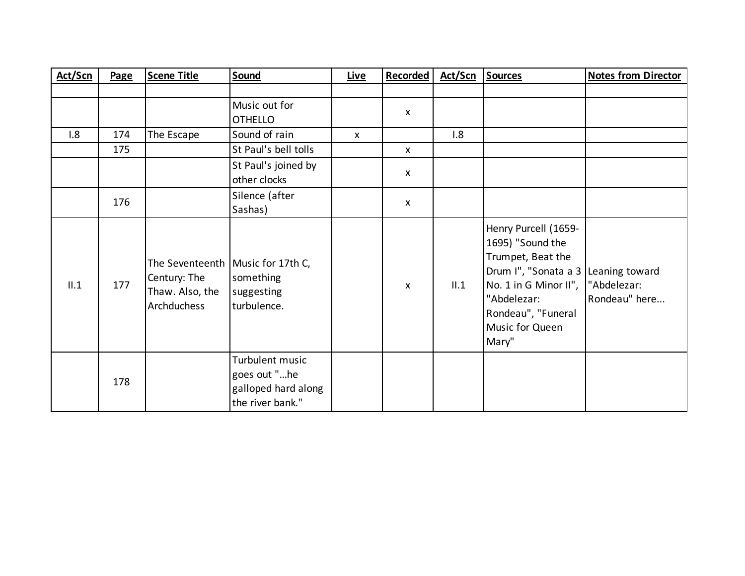| Act/Scn | Page | <b>Scene Title</b>                             | Sound                                                                         | Live         | <b>Recorded</b>           | Act/Scn | <b>Sources</b>                                                                                                                                                                  | <b>Notes from Director</b>                     |
|---------|------|------------------------------------------------|-------------------------------------------------------------------------------|--------------|---------------------------|---------|---------------------------------------------------------------------------------------------------------------------------------------------------------------------------------|------------------------------------------------|
|         |      |                                                |                                                                               |              |                           |         |                                                                                                                                                                                 |                                                |
|         |      |                                                | Music out for<br><b>OTHELLO</b>                                               |              | $\mathsf{x}$              |         |                                                                                                                                                                                 |                                                |
| 1.8     | 174  | The Escape                                     | Sound of rain                                                                 | $\mathsf{x}$ |                           | 1.8     |                                                                                                                                                                                 |                                                |
|         | 175  |                                                | St Paul's bell tolls                                                          |              | $\mathsf{x}$              |         |                                                                                                                                                                                 |                                                |
|         |      |                                                | St Paul's joined by<br>other clocks                                           |              | X                         |         |                                                                                                                                                                                 |                                                |
|         | 176  |                                                | Silence (after<br>Sashas)                                                     |              | $\boldsymbol{\mathsf{X}}$ |         |                                                                                                                                                                                 |                                                |
| II.1    | 177  | Century: The<br>Thaw. Also, the<br>Archduchess | The Seventeenth   Music for 17th C,<br>something<br>suggesting<br>turbulence. |              | $\mathsf{x}$              | II.1    | Henry Purcell (1659-<br>1695) "Sound the<br>Trumpet, Beat the<br>Drum I", "Sonata a 3<br>No. 1 in G Minor II",<br>"Abdelezar:<br>Rondeau", "Funeral<br>Music for Queen<br>Mary" | Leaning toward<br>"Abdelezar:<br>Rondeau" here |
|         | 178  |                                                | Turbulent music<br>goes out "he<br>galloped hard along<br>the river bank."    |              |                           |         |                                                                                                                                                                                 |                                                |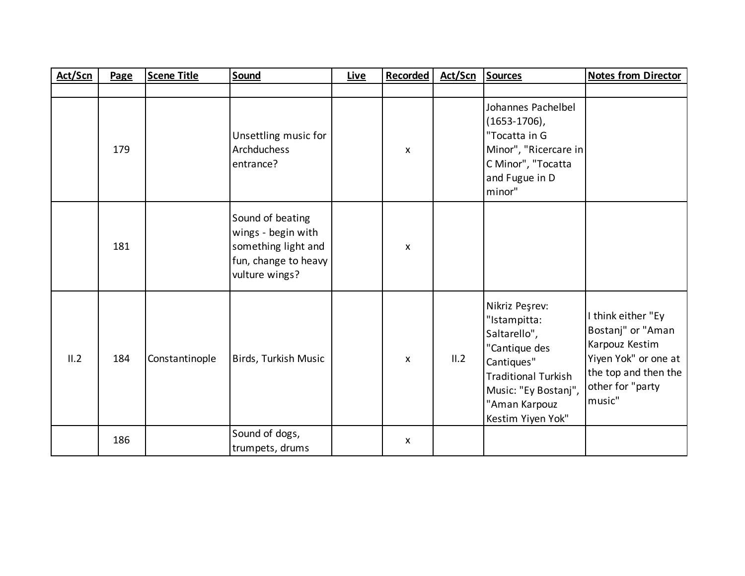| Act/Scn | Page | <b>Scene Title</b> | Sound                                                                                                   | <b>Live</b> | <b>Recorded</b> | Act/Scn | <b>Sources</b>                                                                                                                                                            | <b>Notes from Director</b>                                                                                                              |
|---------|------|--------------------|---------------------------------------------------------------------------------------------------------|-------------|-----------------|---------|---------------------------------------------------------------------------------------------------------------------------------------------------------------------------|-----------------------------------------------------------------------------------------------------------------------------------------|
|         |      |                    |                                                                                                         |             |                 |         |                                                                                                                                                                           |                                                                                                                                         |
|         | 179  |                    | Unsettling music for<br>Archduchess<br>entrance?                                                        |             | X               |         | Johannes Pachelbel<br>$(1653 - 1706)$ ,<br>"Tocatta in G<br>Minor", "Ricercare in<br>C Minor", "Tocatta<br>and Fugue in D<br>minor"                                       |                                                                                                                                         |
|         | 181  |                    | Sound of beating<br>wings - begin with<br>something light and<br>fun, change to heavy<br>vulture wings? |             | X               |         |                                                                                                                                                                           |                                                                                                                                         |
| II.2    | 184  | Constantinople     | Birds, Turkish Music                                                                                    |             | X               | II.2    | Nikriz Peşrev:<br>"Istampitta:<br>Saltarello",<br>"Cantique des<br>Cantiques"<br><b>Traditional Turkish</b><br>Music: "Ey Bostanj",<br>"Aman Karpouz<br>Kestim Yiyen Yok" | I think either "Ey<br>Bostanj" or "Aman<br>Karpouz Kestim<br>Yiyen Yok" or one at<br>the top and then the<br>other for "party<br>music" |
|         | 186  |                    | Sound of dogs,<br>trumpets, drums                                                                       |             | X               |         |                                                                                                                                                                           |                                                                                                                                         |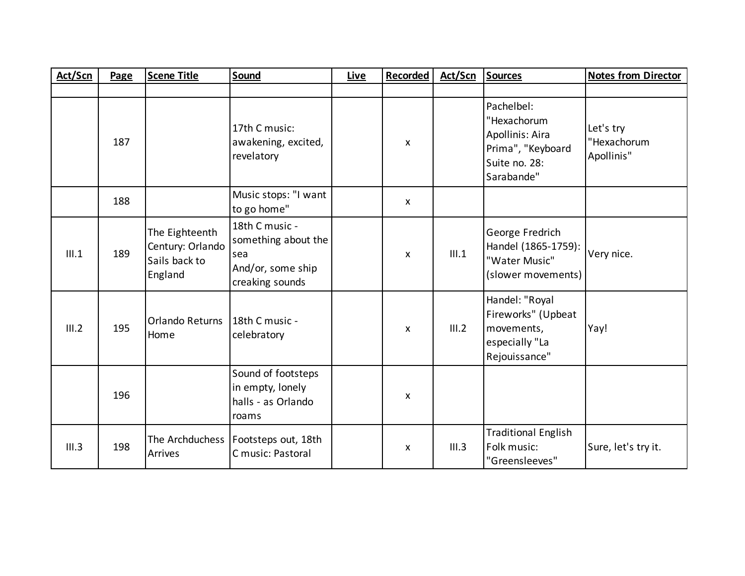| Act/Scn | Page | <b>Scene Title</b>                                             | Sound                                                                                | <b>Live</b> | <b>Recorded</b> | Act/Scn | <b>Sources</b>                                                                                   | <b>Notes from Director</b>             |
|---------|------|----------------------------------------------------------------|--------------------------------------------------------------------------------------|-------------|-----------------|---------|--------------------------------------------------------------------------------------------------|----------------------------------------|
|         |      |                                                                |                                                                                      |             |                 |         |                                                                                                  |                                        |
|         | 187  |                                                                | 17th C music:<br>awakening, excited,<br>revelatory                                   |             | X               |         | Pachelbel:<br>"Hexachorum<br>Apollinis: Aira<br>Prima", "Keyboard<br>Suite no. 28:<br>Sarabande" | Let's try<br>"Hexachorum<br>Apollinis" |
|         | 188  |                                                                | Music stops: "I want<br>to go home"                                                  |             | $\mathsf{X}$    |         |                                                                                                  |                                        |
| III.1   | 189  | The Eighteenth<br>Century: Orlando<br>Sails back to<br>England | 18th C music -<br>something about the<br>sea<br>And/or, some ship<br>creaking sounds |             | $\mathsf{x}$    | III.1   | George Fredrich<br>Handel (1865-1759):<br>"Water Music"<br>(slower movements)                    | Very nice.                             |
| III.2   | 195  | <b>Orlando Returns</b><br>Home                                 | 18th C music -<br>celebratory                                                        |             | $\mathsf{X}$    | III.2   | Handel: "Royal<br>Fireworks" (Upbeat<br>movements,<br>especially "La<br>Rejouissance"            | Yay!                                   |
|         | 196  |                                                                | Sound of footsteps<br>in empty, lonely<br>halls - as Orlando<br>roams                |             | X               |         |                                                                                                  |                                        |
| III.3   | 198  | The Archduchess<br>Arrives                                     | Footsteps out, 18th<br>C music: Pastoral                                             |             | $\mathsf{x}$    | III.3   | <b>Traditional English</b><br>Folk music:<br>"Greensleeves"                                      | Sure, let's try it.                    |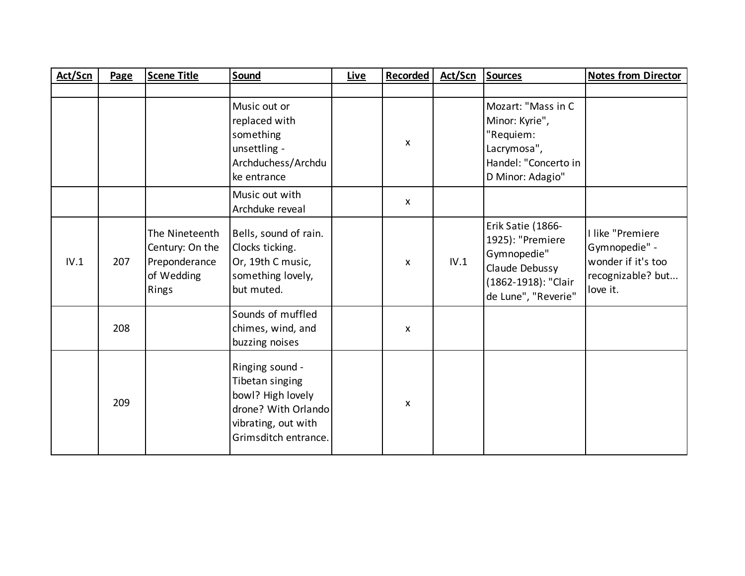| Act/Scn | Page | <b>Scene Title</b>                                                        | Sound                                                                                                                         | Live | <b>Recorded</b>    | Act/Scn | <b>Sources</b>                                                                                                       | <b>Notes from Director</b>                                                               |
|---------|------|---------------------------------------------------------------------------|-------------------------------------------------------------------------------------------------------------------------------|------|--------------------|---------|----------------------------------------------------------------------------------------------------------------------|------------------------------------------------------------------------------------------|
|         |      |                                                                           |                                                                                                                               |      |                    |         |                                                                                                                      |                                                                                          |
|         |      |                                                                           | Music out or<br>replaced with<br>something<br>unsettling -<br>Archduchess/Archdu<br>ke entrance                               |      | $\mathsf{x}$       |         | Mozart: "Mass in C<br>Minor: Kyrie",<br>"Requiem:<br>Lacrymosa",<br>Handel: "Concerto in<br>D Minor: Adagio"         |                                                                                          |
|         |      |                                                                           | Music out with<br>Archduke reveal                                                                                             |      | $\pmb{\mathsf{X}}$ |         |                                                                                                                      |                                                                                          |
| IV.1    | 207  | The Nineteenth<br>Century: On the<br>Preponderance<br>of Wedding<br>Rings | Bells, sound of rain.<br>Clocks ticking.<br>Or, 19th C music,<br>something lovely,<br>but muted.                              |      | X                  | IV.1    | Erik Satie (1866-<br>1925): "Premiere<br>Gymnopedie"<br>Claude Debussy<br>(1862-1918): "Clair<br>de Lune", "Reverie" | I like "Premiere<br>Gymnopedie" -<br>wonder if it's too<br>recognizable? but<br>love it. |
|         | 208  |                                                                           | Sounds of muffled<br>chimes, wind, and<br>buzzing noises                                                                      |      | X                  |         |                                                                                                                      |                                                                                          |
|         | 209  |                                                                           | Ringing sound -<br>Tibetan singing<br>bowl? High lovely<br>drone? With Orlando<br>vibrating, out with<br>Grimsditch entrance. |      | X                  |         |                                                                                                                      |                                                                                          |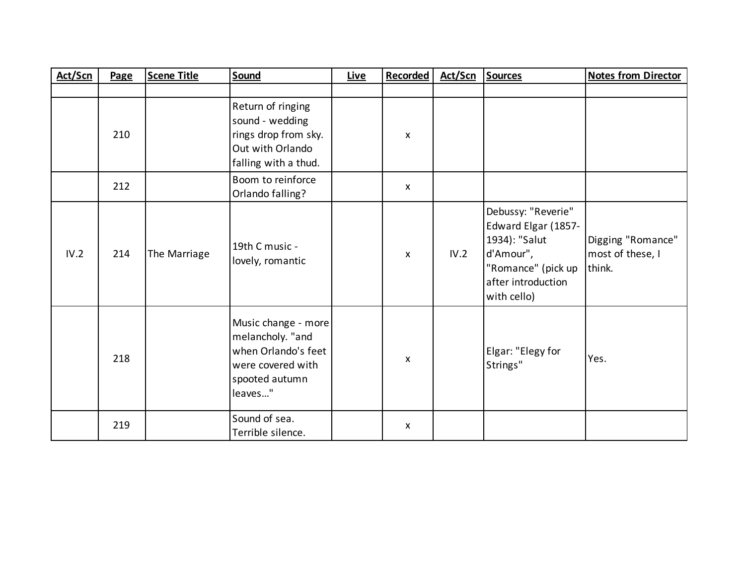| Act/Scn | Page | <b>Scene Title</b> | Sound                                                                                                            | Live | Recorded           | Act/Scn | <b>Sources</b>                                                                                                                     | <b>Notes from Director</b>                      |
|---------|------|--------------------|------------------------------------------------------------------------------------------------------------------|------|--------------------|---------|------------------------------------------------------------------------------------------------------------------------------------|-------------------------------------------------|
|         |      |                    |                                                                                                                  |      |                    |         |                                                                                                                                    |                                                 |
|         | 210  |                    | Return of ringing<br>sound - wedding<br>rings drop from sky.<br>Out with Orlando<br>falling with a thud.         |      | X                  |         |                                                                                                                                    |                                                 |
|         | 212  |                    | Boom to reinforce<br>Orlando falling?                                                                            |      | $\pmb{\mathsf{X}}$ |         |                                                                                                                                    |                                                 |
| IV.2    | 214  | The Marriage       | 19th C music -<br>lovely, romantic                                                                               |      | X                  | IV.2    | Debussy: "Reverie"<br>Edward Elgar (1857-<br>1934): "Salut<br>d'Amour",<br>"Romance" (pick up<br>after introduction<br>with cello) | Digging "Romance"<br>most of these, I<br>think. |
|         | 218  |                    | Music change - more<br>melancholy. "and<br>when Orlando's feet<br>were covered with<br>spooted autumn<br>leaves" |      | X                  |         | Elgar: "Elegy for<br>Strings"                                                                                                      | Yes.                                            |
|         | 219  |                    | Sound of sea.<br>Terrible silence.                                                                               |      | X                  |         |                                                                                                                                    |                                                 |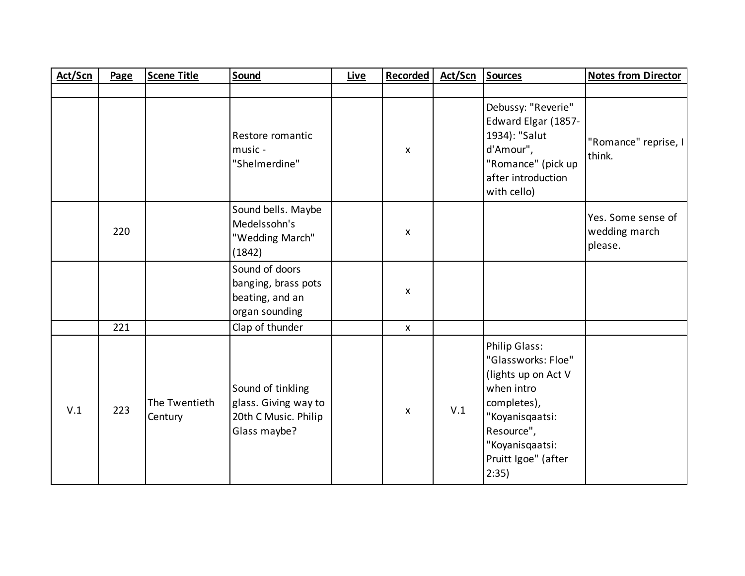| Act/Scn | Page | <b>Scene Title</b>       | Sound                                                                             | <b>Live</b> | <b>Recorded</b>    | Act/Scn | Sources                                                                                                                                                                     | <b>Notes from Director</b>                     |
|---------|------|--------------------------|-----------------------------------------------------------------------------------|-------------|--------------------|---------|-----------------------------------------------------------------------------------------------------------------------------------------------------------------------------|------------------------------------------------|
|         |      |                          |                                                                                   |             |                    |         |                                                                                                                                                                             |                                                |
|         |      |                          | Restore romantic<br>music -<br>"Shelmerdine"                                      |             | X                  |         | Debussy: "Reverie"<br>Edward Elgar (1857-<br>1934): "Salut<br>d'Amour",<br>"Romance" (pick up<br>after introduction<br>with cello)                                          | "Romance" reprise, I<br>think.                 |
|         | 220  |                          | Sound bells. Maybe<br>Medelssohn's<br>"Wedding March"<br>(1842)                   |             | X                  |         |                                                                                                                                                                             | Yes. Some sense of<br>wedding march<br>please. |
|         |      |                          | Sound of doors<br>banging, brass pots<br>beating, and an<br>organ sounding        |             | X                  |         |                                                                                                                                                                             |                                                |
|         | 221  |                          | Clap of thunder                                                                   |             | $\pmb{\mathsf{X}}$ |         |                                                                                                                                                                             |                                                |
| V.1     | 223  | The Twentieth<br>Century | Sound of tinkling<br>glass. Giving way to<br>20th C Music. Philip<br>Glass maybe? |             | X                  | V.1     | Philip Glass:<br>"Glassworks: Floe"<br>(lights up on Act V<br>when intro<br>completes),<br>"Koyanisqaatsi:<br>Resource",<br>"Koyanisqaatsi:<br>Pruitt Igoe" (after<br>2:35) |                                                |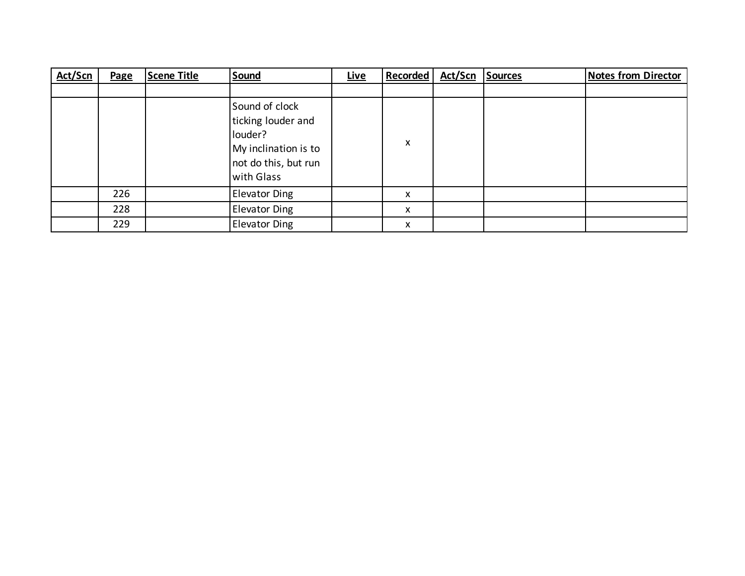| Act/Scn | Page | <b>Scene Title</b> | Sound                                                                                                         | <b>Live</b> | <b>Recorded</b> | Act/Scn | <b>Sources</b> | <b>Notes from Director</b> |
|---------|------|--------------------|---------------------------------------------------------------------------------------------------------------|-------------|-----------------|---------|----------------|----------------------------|
|         |      |                    |                                                                                                               |             |                 |         |                |                            |
|         |      |                    | Sound of clock<br>ticking louder and<br>louder?<br>My inclination is to<br>not do this, but run<br>with Glass |             | X               |         |                |                            |
|         | 226  |                    | <b>Elevator Ding</b>                                                                                          |             | X               |         |                |                            |
|         | 228  |                    | <b>Elevator Ding</b>                                                                                          |             | X               |         |                |                            |
|         | 229  |                    | <b>Elevator Ding</b>                                                                                          |             | X               |         |                |                            |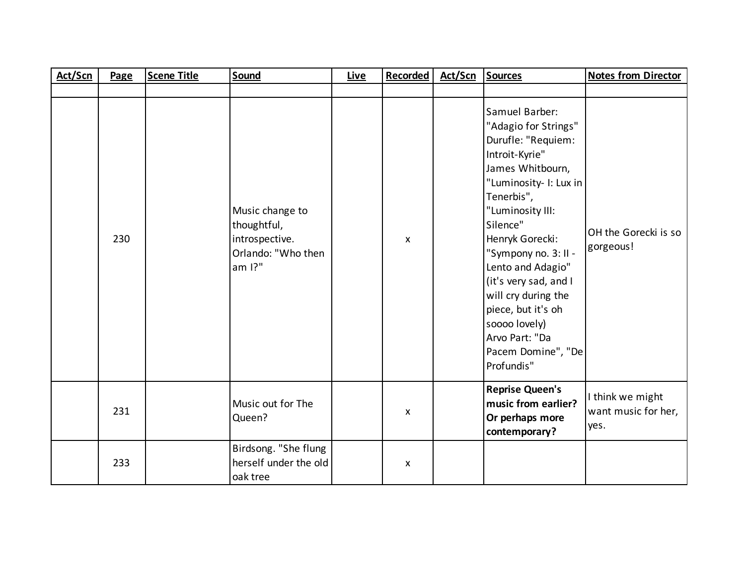| Act/Scn | Page | <b>Scene Title</b> | Sound                                                                            | <b>Live</b> | <b>Recorded</b> | Act/Scn | <b>Sources</b>                                                                                                                                                                                                                                                                                                                                                                          | <b>Notes from Director</b>                      |
|---------|------|--------------------|----------------------------------------------------------------------------------|-------------|-----------------|---------|-----------------------------------------------------------------------------------------------------------------------------------------------------------------------------------------------------------------------------------------------------------------------------------------------------------------------------------------------------------------------------------------|-------------------------------------------------|
|         |      |                    |                                                                                  |             |                 |         |                                                                                                                                                                                                                                                                                                                                                                                         |                                                 |
|         | 230  |                    | Music change to<br>thoughtful,<br>introspective.<br>Orlando: "Who then<br>am 1?" |             | X               |         | Samuel Barber:<br>"Adagio for Strings"<br>Durufle: "Requiem:<br>Introit-Kyrie"<br>James Whitbourn,<br>"Luminosity- I: Lux in<br>Tenerbis",<br>"Luminosity III:<br>Silence"<br>Henryk Gorecki:<br>"Sympony no. 3: II -<br>Lento and Adagio"<br>(it's very sad, and I<br>will cry during the<br>piece, but it's oh<br>soooo lovely)<br>Arvo Part: "Da<br>Pacem Domine", "De<br>Profundis" | OH the Gorecki is so<br>gorgeous!               |
|         | 231  |                    | Music out for The<br>Queen?                                                      |             | X               |         | <b>Reprise Queen's</b><br>music from earlier?<br>Or perhaps more<br>contemporary?                                                                                                                                                                                                                                                                                                       | I think we might<br>want music for her,<br>yes. |
|         | 233  |                    | Birdsong. "She flung<br>herself under the old<br>oak tree                        |             | X               |         |                                                                                                                                                                                                                                                                                                                                                                                         |                                                 |